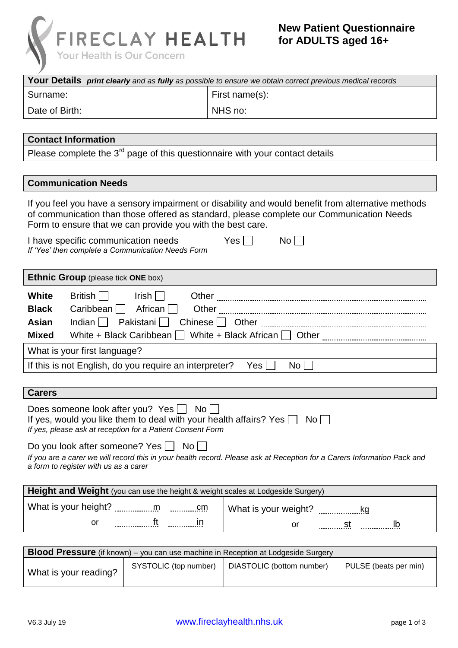

| ' J                                                                                                            |                                                                                                                                                                                             |                                                                                                                                                                                                |                       |
|----------------------------------------------------------------------------------------------------------------|---------------------------------------------------------------------------------------------------------------------------------------------------------------------------------------------|------------------------------------------------------------------------------------------------------------------------------------------------------------------------------------------------|-----------------------|
|                                                                                                                |                                                                                                                                                                                             | Your Details print clearly and as fully as possible to ensure we obtain correct previous medical records                                                                                       |                       |
| Surname:                                                                                                       |                                                                                                                                                                                             | First name(s):                                                                                                                                                                                 |                       |
| Date of Birth:                                                                                                 |                                                                                                                                                                                             | NHS no:                                                                                                                                                                                        |                       |
| <b>Contact Information</b>                                                                                     |                                                                                                                                                                                             |                                                                                                                                                                                                |                       |
|                                                                                                                |                                                                                                                                                                                             | Please complete the $3rd$ page of this questionnaire with your contact details                                                                                                                 |                       |
|                                                                                                                |                                                                                                                                                                                             |                                                                                                                                                                                                |                       |
| <b>Communication Needs</b>                                                                                     |                                                                                                                                                                                             |                                                                                                                                                                                                |                       |
|                                                                                                                | Form to ensure that we can provide you with the best care.                                                                                                                                  | If you feel you have a sensory impairment or disability and would benefit from alternative methods<br>of communication than those offered as standard, please complete our Communication Needs |                       |
| I have specific communication needs<br>If 'Yes' then complete a Communication Needs Form                       |                                                                                                                                                                                             | $Yes$    <br>$No$ $ $                                                                                                                                                                          |                       |
| Ethnic Group (please tick ONE box)                                                                             |                                                                                                                                                                                             |                                                                                                                                                                                                |                       |
| <b>White</b><br>British    <br>Caribbean $\Box$<br><b>Black</b><br>Asian<br>Indian $  \cdot  $<br><b>Mixed</b> | $Irish$    <br>African $\Box$<br>Pakistani $\Box$<br>White + Black Caribbean                                                                                                                |                                                                                                                                                                                                |                       |
| What is your first language?                                                                                   |                                                                                                                                                                                             |                                                                                                                                                                                                |                       |
|                                                                                                                | If this is not English, do you require an interpreter?                                                                                                                                      | No <sub>1</sub><br>Yes                                                                                                                                                                         |                       |
|                                                                                                                |                                                                                                                                                                                             |                                                                                                                                                                                                |                       |
| <b>Carers</b>                                                                                                  |                                                                                                                                                                                             |                                                                                                                                                                                                |                       |
|                                                                                                                | Does someone look after you? Yes $\Box$ No $\Box$<br>If yes, would you like them to deal with your health affairs? Yes $\Box$<br>If yes, please ask at reception for a Patient Consent Form | $No$ $\vert$ $\vert$                                                                                                                                                                           |                       |
| Do you look after someone? Yes $\Box$<br>a form to register with us as a carer                                 | No <sub>1</sub>                                                                                                                                                                             | If you are a carer we will record this in your health record. Please ask at Reception for a Carers Information Pack and                                                                        |                       |
|                                                                                                                | Height and Weight (you can use the height & weight scales at Lodgeside Surgery)                                                                                                             |                                                                                                                                                                                                |                       |
|                                                                                                                |                                                                                                                                                                                             | What is your weight?                                                                                                                                                                           | kg                    |
| or                                                                                                             |                                                                                                                                                                                             | or                                                                                                                                                                                             |                       |
|                                                                                                                |                                                                                                                                                                                             |                                                                                                                                                                                                |                       |
|                                                                                                                |                                                                                                                                                                                             | <b>Blood Pressure</b> (if known) – you can use machine in Reception at Lodgeside Surgery                                                                                                       |                       |
| What is your reading?                                                                                          | SYSTOLIC (top number)                                                                                                                                                                       | DIASTOLIC (bottom number)                                                                                                                                                                      | PULSE (beats per min) |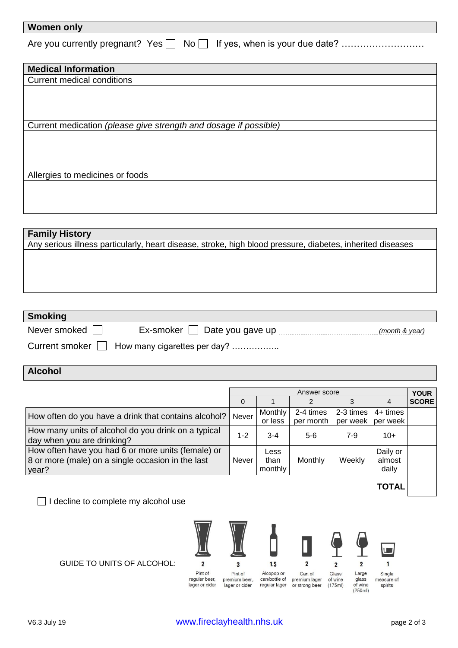| <b>Women only</b> |  |
|-------------------|--|
|                   |  |

| <b>Medical Information</b>                                       |
|------------------------------------------------------------------|
| <b>Current medical conditions</b>                                |
|                                                                  |
|                                                                  |
|                                                                  |
| Current medication (please give strength and dosage if possible) |
|                                                                  |
|                                                                  |
|                                                                  |
|                                                                  |
| Allergies to medicines or foods                                  |
|                                                                  |
|                                                                  |
|                                                                  |

| <b>Family History</b>                                                                                      |
|------------------------------------------------------------------------------------------------------------|
| Any serious illness particularly, heart disease, stroke, high blood pressure, diabetes, inherited diseases |
|                                                                                                            |
|                                                                                                            |
|                                                                                                            |
|                                                                                                            |
|                                                                                                            |

| <b>Smoking</b> |                                                 |                |
|----------------|-------------------------------------------------|----------------|
| Never smoked   | Ex-smoker   Date you gave up                    | (month & year) |
|                | Current smoker     How many cigarettes per day? |                |

## **Alcohol**

|                                                      | Answer score |                    |                                   | <b>YOUR</b> |                      |              |
|------------------------------------------------------|--------------|--------------------|-----------------------------------|-------------|----------------------|--------------|
|                                                      | $\Omega$     |                    |                                   |             | 4                    | <b>SCORE</b> |
| How often do you have a drink that contains alcohol? | Never        | Monthly<br>or less | 2-4 times<br>per month   per week | 2-3 times   | 4+ times<br>per week |              |
| How many units of alcohol do you drink on a typical  |              |                    |                                   |             |                      |              |
| day when you are drinking?                           | $1 - 2$      | $3 - 4$            | $5-6$                             | 7-9         | $10+$                |              |
| How often have you had 6 or more units (female) or   |              | Less               |                                   |             | Daily or             |              |
| 8 or more (male) on a single occasion in the last    | <b>Never</b> | than               | Monthly                           | Weekly      | almost               |              |
| year?                                                |              | monthly            |                                   |             | daily                |              |

□ I decline to complete my alcohol use





 $\mathbf{1}$ Large<br>glass<br>of wine<br>(250ml) Single measure of spirits

**TOTAL**

ı.

GUIDE TO UNITS OF ALCOHOL:

regular beer,

lager or cider

premium beer,<br>lager or cider